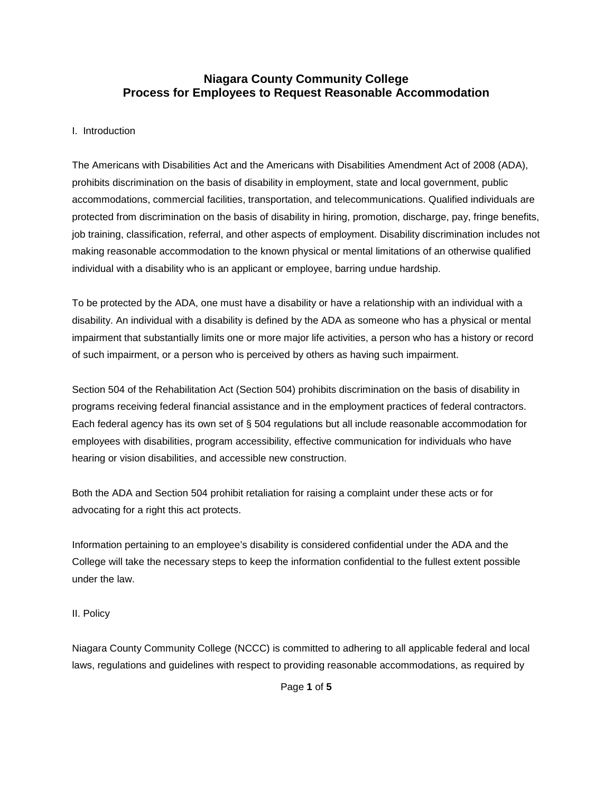# **Niagara County Community College Process for Employees to Request Reasonable Accommodation**

### I. Introduction

The Americans with Disabilities Act and the Americans with Disabilities Amendment Act of 2008 (ADA), prohibits discrimination on the basis of disability in employment, state and local government, public accommodations, commercial facilities, transportation, and telecommunications. Qualified individuals are protected from discrimination on the basis of disability in hiring, promotion, discharge, pay, fringe benefits, job training, classification, referral, and other aspects of employment. Disability discrimination includes not making reasonable accommodation to the known physical or mental limitations of an otherwise qualified individual with a disability who is an applicant or employee, barring undue hardship.

To be protected by the ADA, one must have a disability or have a relationship with an individual with a disability. An individual with a disability is defined by the ADA as someone who has a physical or mental impairment that substantially limits one or more major life activities, a person who has a history or record of such impairment, or a person who is perceived by others as having such impairment.

Section 504 of the Rehabilitation Act (Section 504) prohibits discrimination on the basis of disability in programs receiving federal financial assistance and in the employment practices of federal contractors. Each federal agency has its own set of § 504 regulations but all include reasonable accommodation for employees with disabilities, program accessibility, effective communication for individuals who have hearing or vision disabilities, and accessible new construction.

Both the ADA and Section 504 prohibit retaliation for raising a complaint under these acts or for advocating for a right this act protects.

Information pertaining to an employee's disability is considered confidential under the ADA and the College will take the necessary steps to keep the information confidential to the fullest extent possible under the law.

#### II. Policy

Niagara County Community College (NCCC) is committed to adhering to all applicable federal and local laws, regulations and guidelines with respect to providing reasonable accommodations, as required by

Page **1** of **5**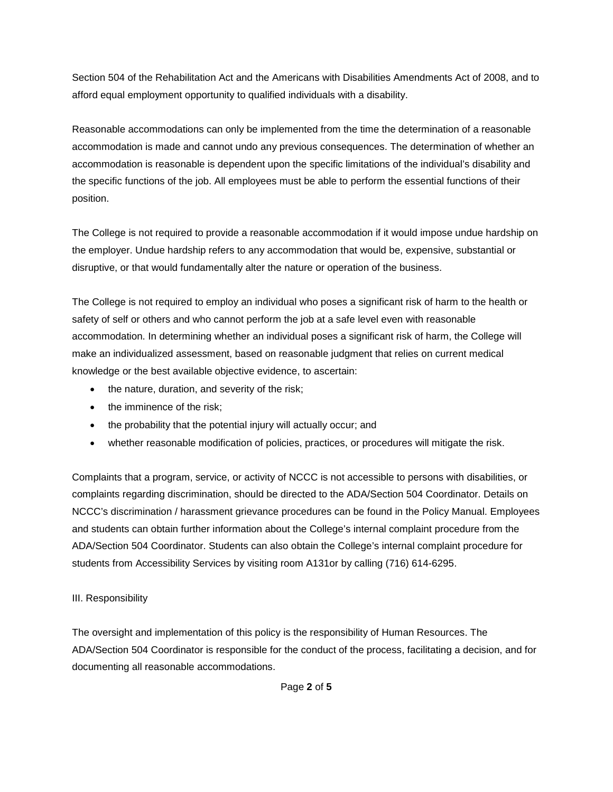Section 504 of the Rehabilitation Act and the Americans with Disabilities Amendments Act of 2008, and to afford equal employment opportunity to qualified individuals with a disability.

Reasonable accommodations can only be implemented from the time the determination of a reasonable accommodation is made and cannot undo any previous consequences. The determination of whether an accommodation is reasonable is dependent upon the specific limitations of the individual's disability and the specific functions of the job. All employees must be able to perform the essential functions of their position.

The College is not required to provide a reasonable accommodation if it would impose undue hardship on the employer. Undue hardship refers to any accommodation that would be, expensive, substantial or disruptive, or that would fundamentally alter the nature or operation of the business.

The College is not required to employ an individual who poses a significant risk of harm to the health or safety of self or others and who cannot perform the job at a safe level even with reasonable accommodation. In determining whether an individual poses a significant risk of harm, the College will make an individualized assessment, based on reasonable judgment that relies on current medical knowledge or the best available objective evidence, to ascertain:

- the nature, duration, and severity of the risk;
- the imminence of the risk:
- the probability that the potential injury will actually occur; and
- whether reasonable modification of policies, practices, or procedures will mitigate the risk.

Complaints that a program, service, or activity of NCCC is not accessible to persons with disabilities, or complaints regarding discrimination, should be directed to the ADA/Section 504 Coordinator. Details on NCCC's discrimination / harassment grievance procedures can be found in the Policy Manual. Employees and students can obtain further information about the College's internal complaint procedure from the ADA/Section 504 Coordinator. Students can also obtain the College's internal complaint procedure for students from Accessibility Services by visiting room A131or by calling (716) 614-6295.

## III. Responsibility

The oversight and implementation of this policy is the responsibility of Human Resources. The ADA/Section 504 Coordinator is responsible for the conduct of the process, facilitating a decision, and for documenting all reasonable accommodations.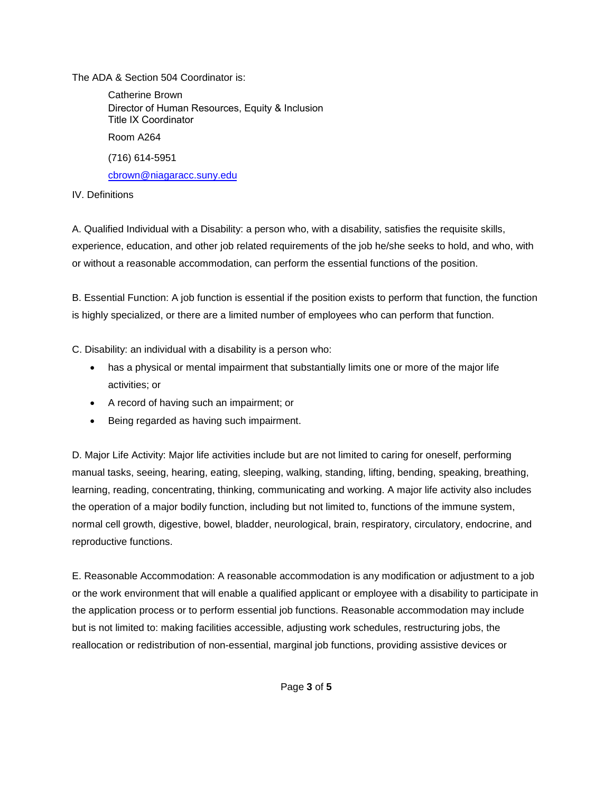The ADA & Section 504 Coordinator is:

Catherine Brown Director of Human Resources, Equity & Inclusion Title IX Coordinator Room A264 (716) [614-5951](mailto:cbrown@niagaracc.suny.edu) cbrown@niagaracc.suny.edu

IV. Definitions

A. Qualified Individual with a Disability: a person who, with a disability, satisfies the requisite skills, experience, education, and other job related requirements of the job he/she seeks to hold, and who, with or without a reasonable accommodation, can perform the essential functions of the position.

B. Essential Function: A job function is essential if the position exists to perform that function, the function is highly specialized, or there are a limited number of employees who can perform that function.

C. Disability: an individual with a disability is a person who:

- has a physical or mental impairment that substantially limits one or more of the major life activities; or
- A record of having such an impairment; or
- Being regarded as having such impairment.

D. Major Life Activity: Major life activities include but are not limited to caring for oneself, performing manual tasks, seeing, hearing, eating, sleeping, walking, standing, lifting, bending, speaking, breathing, learning, reading, concentrating, thinking, communicating and working. A major life activity also includes the operation of a major bodily function, including but not limited to, functions of the immune system, normal cell growth, digestive, bowel, bladder, neurological, brain, respiratory, circulatory, endocrine, and reproductive functions.

E. Reasonable Accommodation: A reasonable accommodation is any modification or adjustment to a job or the work environment that will enable a qualified applicant or employee with a disability to participate in the application process or to perform essential job functions. Reasonable accommodation may include but is not limited to: making facilities accessible, adjusting work schedules, restructuring jobs, the reallocation or redistribution of non-essential, marginal job functions, providing assistive devices or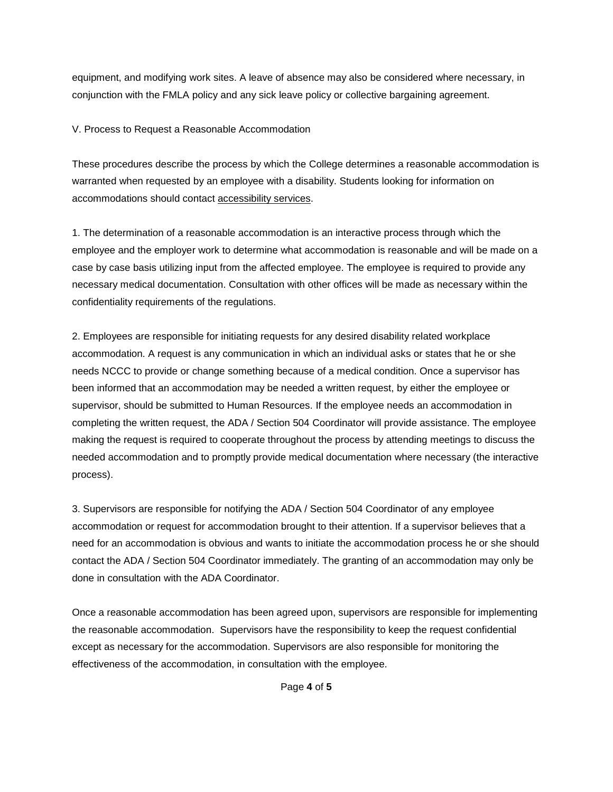equipment, and modifying work sites. A leave of absence may also be considered where necessary, in conjunction with the FMLA policy and any sick leave policy or collective bargaining agreement.

V. Process to Request a Reasonable Accommodation

These procedures describe the process by which the College determines a reasonable accommodation is warranted when requested by an employee with a disability. Students looking for information on accommodations should contact [accessibility services.](http://www.niagaracc.suny.edu/studentlife/development/disabilities.php)

1. The determination of a reasonable accommodation is an interactive process through which the employee and the employer work to determine what accommodation is reasonable and will be made on a case by case basis utilizing input from the affected employee. The employee is required to provide any necessary medical documentation. Consultation with other offices will be made as necessary within the confidentiality requirements of the regulations.

2. Employees are responsible for initiating requests for any desired disability related workplace accommodation. A request is any communication in which an individual asks or states that he or she needs NCCC to provide or change something because of a medical condition. Once a supervisor has been informed that an accommodation may be needed a written request, by either the employee or supervisor, should be submitted to Human Resources. If the employee needs an accommodation in completing the written request, the ADA / Section 504 Coordinator will provide assistance. The employee making the request is required to cooperate throughout the process by attending meetings to discuss the needed accommodation and to promptly provide medical documentation where necessary (the interactive process).

3. Supervisors are responsible for notifying the ADA / Section 504 Coordinator of any employee accommodation or request for accommodation brought to their attention. If a supervisor believes that a need for an accommodation is obvious and wants to initiate the accommodation process he or she should contact the ADA / Section 504 Coordinator immediately. The granting of an accommodation may only be done in consultation with the ADA Coordinator.

Once a reasonable accommodation has been agreed upon, supervisors are responsible for implementing the reasonable accommodation. Supervisors have the responsibility to keep the request confidential except as necessary for the accommodation. Supervisors are also responsible for monitoring the effectiveness of the accommodation, in consultation with the employee.

Page **4** of **5**